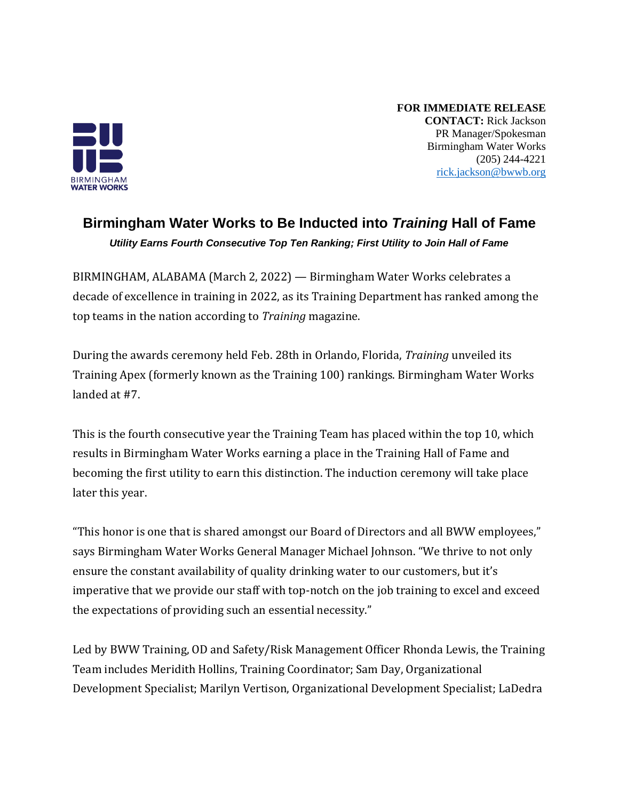

**FOR IMMEDIATE RELEASE CONTACT:** Rick Jackson PR Manager/Spokesman Birmingham Water Works (205) 244-4221 [rick.jackson@bwwb.org](mailto:rick.jackson@bwwb.org)

## **Birmingham Water Works to Be Inducted into** *Training* **Hall of Fame** *Utility Earns Fourth Consecutive Top Ten Ranking; First Utility to Join Hall of Fame*

BIRMINGHAM, ALABAMA (March 2, 2022) — Birmingham Water Works celebrates a decade of excellence in training in 2022, as its Training Department has ranked among the top teams in the nation according to *Training* magazine.

During the awards ceremony held Feb. 28th in Orlando, Florida, *Training* unveiled its Training Apex (formerly known as the Training 100) rankings. Birmingham Water Works landed at #7.

This is the fourth consecutive year the Training Team has placed within the top 10, which results in Birmingham Water Works earning a place in the Training Hall of Fame and becoming the first utility to earn this distinction. The induction ceremony will take place later this year.

"This honor is one that is shared amongst our Board of Directors and all BWW employees," says Birmingham Water Works General Manager Michael Johnson. "We thrive to not only ensure the constant availability of quality drinking water to our customers, but it's imperative that we provide our staff with top-notch on the job training to excel and exceed the expectations of providing such an essential necessity."

Led by BWW Training, OD and Safety/Risk Management Officer Rhonda Lewis, the Training Team includes Meridith Hollins, Training Coordinator; Sam Day, Organizational Development Specialist; Marilyn Vertison, Organizational Development Specialist; LaDedra